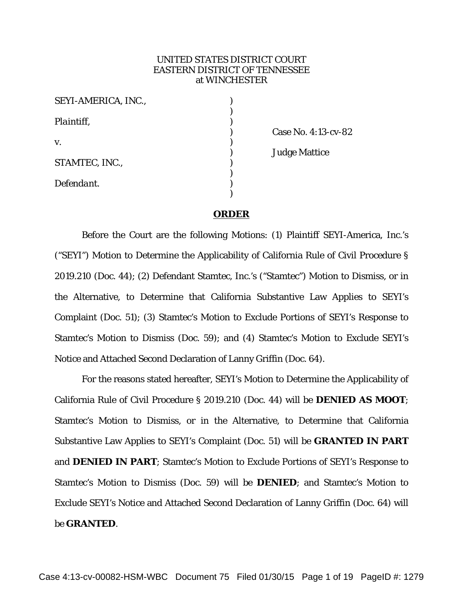# UNITED STATES DISTRICT COURT EASTERN DISTRICT OF TENNESSEE at WINCHESTER

| SEYI-AMERICA, INC., |  |
|---------------------|--|
| Plaintiff,          |  |
| V.                  |  |
| STAMTEC, INC.,      |  |
| Defendant.          |  |
|                     |  |

) Case No. 4:13-cv-82

) Judge Mattice

### **ORDER**

Before the Court are the following Motions: (1) Plaintiff SEYI-America, Inc.'s ("SEYI") Motion to Determine the Applicability of California Rule of Civil Procedure § 2019.210 (Doc. 44); (2) Defendant Stamtec, Inc.'s ("Stamtec") Motion to Dismiss, or in the Alternative, to Determine that California Substantive Law Applies to SEYI's Complaint (Doc. 51); (3) Stamtec's Motion to Exclude Portions of SEYI's Response to Stamtec's Motion to Dismiss (Doc. 59); and (4) Stamtec's Motion to Exclude SEYI's Notice and Attached Second Declaration of Lanny Griffin (Doc. 64).

For the reasons stated hereafter, SEYI's Motion to Determine the Applicability of California Rule of Civil Procedure § 2019.210 (Doc. 44) will be **DENIED AS MOOT**; Stamtec's Motion to Dismiss, or in the Alternative, to Determine that California Substantive Law Applies to SEYI's Complaint (Doc. 51) will be **GRANTED IN PART** and **DENIED IN PART**; Stamtec's Motion to Exclude Portions of SEYI's Response to Stamtec's Motion to Dismiss (Doc. 59) will be **DENIED**; and Stamtec's Motion to Exclude SEYI's Notice and Attached Second Declaration of Lanny Griffin (Doc. 64) will be **GRANTED**.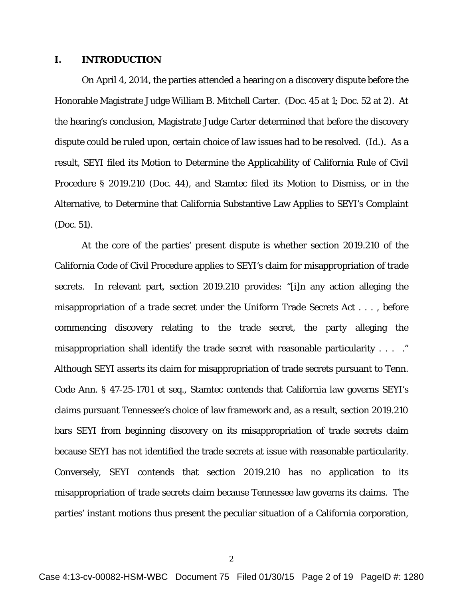### **I. INTRODUCTION**

 On April 4, 2014, the parties attended a hearing on a discovery dispute before the Honorable Magistrate Judge William B. Mitchell Carter. (Doc. 45 at 1; Doc. 52 at 2). At the hearing's conclusion, Magistrate Judge Carter determined that before the discovery dispute could be ruled upon, certain choice of law issues had to be resolved. (*Id*.). As a result, SEYI filed its Motion to Determine the Applicability of California Rule of Civil Procedure § 2019.210 (Doc. 44), and Stamtec filed its Motion to Dismiss, or in the Alternative, to Determine that California Substantive Law Applies to SEYI's Complaint (Doc. 51).

 At the core of the parties' present dispute is whether section 2019.210 of the California Code of Civil Procedure applies to SEYI's claim for misappropriation of trade secrets. In relevant part, section 2019.210 provides: "[i]n any action alleging the misappropriation of a trade secret under the Uniform Trade Secrets Act . . . , before commencing discovery relating to the trade secret, the party alleging the misappropriation shall identify the trade secret with reasonable particularity . . . ." Although SEYI asserts its claim for misappropriation of trade secrets pursuant to Tenn. Code Ann. § 47-25-1701 *et seq*., Stamtec contends that California law governs SEYI's claims pursuant Tennessee's choice of law framework and, as a result, section 2019.210 bars SEYI from beginning discovery on its misappropriation of trade secrets claim because SEYI has not identified the trade secrets at issue with reasonable particularity. Conversely, SEYI contends that section 2019.210 has no application to its misappropriation of trade secrets claim because Tennessee law governs its claims. The parties' instant motions thus present the peculiar situation of a California corporation,

2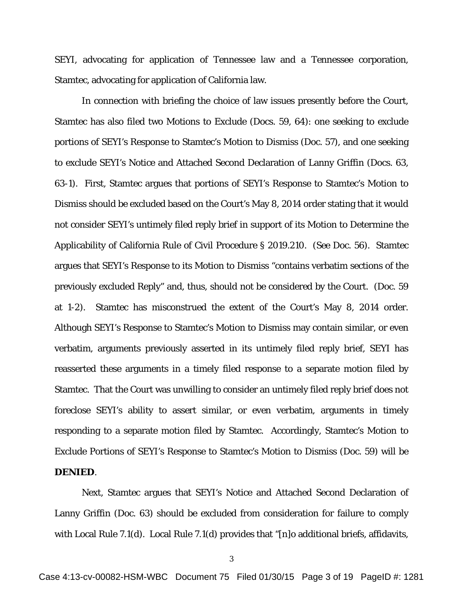SEYI, advocating for application of Tennessee law and a Tennessee corporation, Stamtec, advocating for application of California law.

 In connection with briefing the choice of law issues presently before the Court, Stamtec has also filed two Motions to Exclude (Docs. 59, 64): one seeking to exclude portions of SEYI's Response to Stamtec's Motion to Dismiss (Doc. 57), and one seeking to exclude SEYI's Notice and Attached Second Declaration of Lanny Griffin (Docs. 63, 63-1). First, Stamtec argues that portions of SEYI's Response to Stamtec's Motion to Dismiss should be excluded based on the Court's May 8, 2014 order stating that it would not consider SEYI's untimely filed reply brief in support of its Motion to Determine the Applicability of California Rule of Civil Procedure § 2019.210. (*See* Doc. 56). Stamtec argues that SEYI's Response to its Motion to Dismiss "contains verbatim sections of the previously excluded Reply" and, thus, should not be considered by the Court. (Doc. 59 at 1-2). Stamtec has misconstrued the extent of the Court's May 8, 2014 order. Although SEYI's Response to Stamtec's Motion to Dismiss may contain similar, or even verbatim, arguments previously asserted in its untimely filed reply brief, SEYI has reasserted these arguments in a timely filed response to a separate motion filed by Stamtec. That the Court was unwilling to consider an untimely filed reply brief does not foreclose SEYI's ability to assert similar, or even verbatim, arguments in timely responding to a separate motion filed by Stamtec. Accordingly, Stamtec's Motion to Exclude Portions of SEYI's Response to Stamtec's Motion to Dismiss (Doc. 59) will be **DENIED**.

 Next, Stamtec argues that SEYI's Notice and Attached Second Declaration of Lanny Griffin (Doc. 63) should be excluded from consideration for failure to comply with Local Rule 7.1(d). Local Rule 7.1(d) provides that "[n]o additional briefs, affidavits,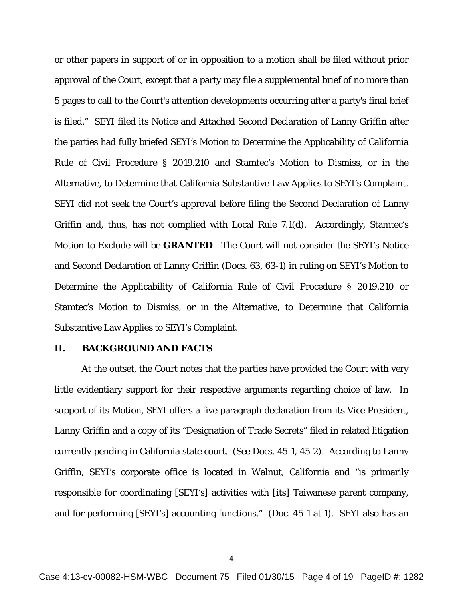or other papers in support of or in opposition to a motion shall be filed without prior approval of the Court, except that a party may file a supplemental brief of no more than 5 pages to call to the Court's attention developments occurring after a party's final brief is filed." SEYI filed its Notice and Attached Second Declaration of Lanny Griffin after the parties had fully briefed SEYI's Motion to Determine the Applicability of California Rule of Civil Procedure § 2019.210 and Stamtec's Motion to Dismiss, or in the Alternative, to Determine that California Substantive Law Applies to SEYI's Complaint. SEYI did not seek the Court's approval before filing the Second Declaration of Lanny Griffin and, thus, has not complied with Local Rule 7.1(d). Accordingly, Stamtec's Motion to Exclude will be **GRANTED**. The Court will not consider the SEYI's Notice and Second Declaration of Lanny Griffin (Docs. 63, 63-1) in ruling on SEYI's Motion to Determine the Applicability of California Rule of Civil Procedure § 2019.210 or Stamtec's Motion to Dismiss, or in the Alternative, to Determine that California Substantive Law Applies to SEYI's Complaint.

## **II. BACKGROUND AND FACTS**

At the outset, the Court notes that the parties have provided the Court with very little evidentiary support for their respective arguments regarding choice of law. In support of its Motion, SEYI offers a five paragraph declaration from its Vice President, Lanny Griffin and a copy of its "Designation of Trade Secrets" filed in related litigation currently pending in California state court. (*See* Docs. 45-1, 45-2). According to Lanny Griffin, SEYI's corporate office is located in Walnut, California and "is primarily responsible for coordinating [SEYI's] activities with [its] Taiwanese parent company, and for performing [SEYI's] accounting functions." (Doc. 45-1 at 1). SEYI also has an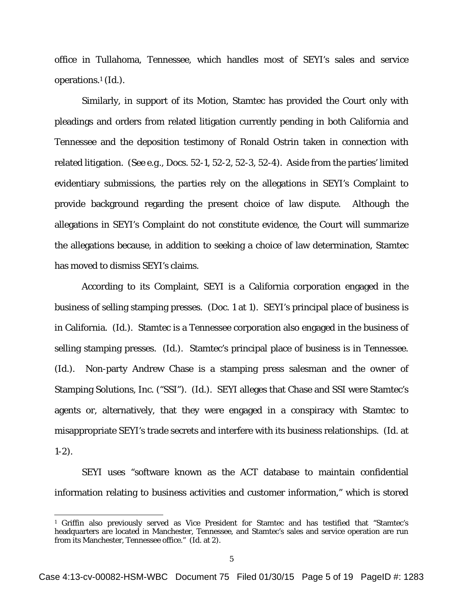office in Tullahoma, Tennessee, which handles most of SEYI's sales and service operations.1 (*Id*.).

 Similarly, in support of its Motion, Stamtec has provided the Court only with pleadings and orders from related litigation currently pending in both California and Tennessee and the deposition testimony of Ronald Ostrin taken in connection with related litigation. (*See e.g.*, Docs. 52-1, 52-2, 52-3, 52-4). Aside from the parties' limited evidentiary submissions, the parties rely on the allegations in SEYI's Complaint to provide background regarding the present choice of law dispute. Although the allegations in SEYI's Complaint do not constitute evidence, the Court will summarize the allegations because, in addition to seeking a choice of law determination, Stamtec has moved to dismiss SEYI's claims.

According to its Complaint, SEYI is a California corporation engaged in the business of selling stamping presses. (Doc. 1 at 1). SEYI's principal place of business is in California. (*Id*.). Stamtec is a Tennessee corporation also engaged in the business of selling stamping presses. (*Id*.). Stamtec's principal place of business is in Tennessee. (*Id*.). Non-party Andrew Chase is a stamping press salesman and the owner of Stamping Solutions, Inc. ("SSI"). (*Id*.). SEYI alleges that Chase and SSI were Stamtec's agents or, alternatively, that they were engaged in a conspiracy with Stamtec to misappropriate SEYI's trade secrets and interfere with its business relationships. (*Id*. at 1-2).

 SEYI uses "software known as the ACT database to maintain confidential information relating to business activities and customer information," which is stored

<sup>1</sup> Griffin also previously served as Vice President for Stamtec and has testified that "Stamtec's headquarters are located in Manchester, Tennessee, and Stamtec's sales and service operation are run from its Manchester, Tennessee office." (*Id*. at 2).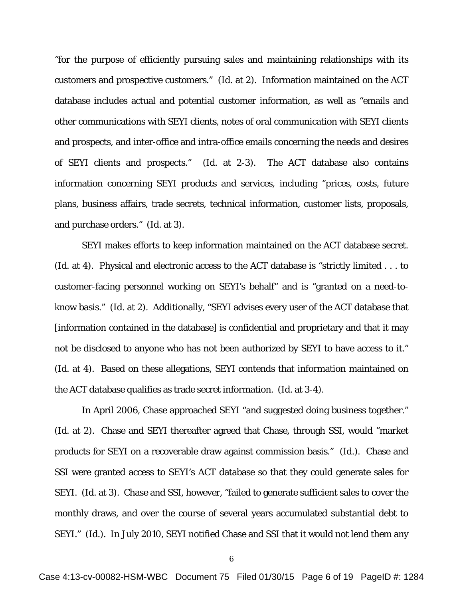"for the purpose of efficiently pursuing sales and maintaining relationships with its customers and prospective customers." (*Id*. at 2). Information maintained on the ACT database includes actual and potential customer information, as well as "emails and other communications with SEYI clients, notes of oral communication with SEYI clients and prospects, and inter-office and intra-office emails concerning the needs and desires of SEYI clients and prospects." (*Id*. at 2-3). The ACT database also contains information concerning SEYI products and services, including "prices, costs, future plans, business affairs, trade secrets, technical information, customer lists, proposals, and purchase orders." (*Id*. at 3).

 SEYI makes efforts to keep information maintained on the ACT database secret. (*Id*. at 4). Physical and electronic access to the ACT database is "strictly limited . . . to customer-facing personnel working on SEYI's behalf" and is "granted on a need-toknow basis." (*Id*. at 2). Additionally, "SEYI advises every user of the ACT database that [information contained in the database] is confidential and proprietary and that it may not be disclosed to anyone who has not been authorized by SEYI to have access to it." (*Id*. at 4). Based on these allegations, SEYI contends that information maintained on the ACT database qualifies as trade secret information. (*Id*. at 3-4).

 In April 2006, Chase approached SEYI "and suggested doing business together." (*Id*. at 2). Chase and SEYI thereafter agreed that Chase, through SSI, would "market products for SEYI on a recoverable draw against commission basis." (*Id*.). Chase and SSI were granted access to SEYI's ACT database so that they could generate sales for SEYI. (*Id*. at 3). Chase and SSI, however, "failed to generate sufficient sales to cover the monthly draws, and over the course of several years accumulated substantial debt to SEYI." (*Id*.). In July 2010, SEYI notified Chase and SSI that it would not lend them any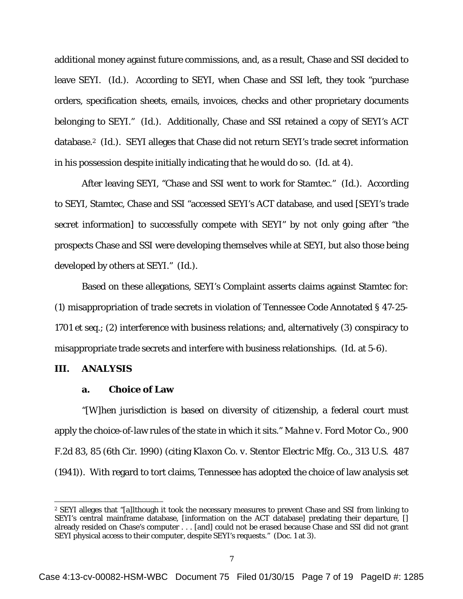additional money against future commissions, and, as a result, Chase and SSI decided to leave SEYI. (*Id*.). According to SEYI, when Chase and SSI left, they took "purchase orders, specification sheets, emails, invoices, checks and other proprietary documents belonging to SEYI." (*Id*.). Additionally, Chase and SSI retained a copy of SEYI's ACT database.2 (*Id*.). SEYI alleges that Chase did not return SEYI's trade secret information in his possession despite initially indicating that he would do so. (*Id*. at 4).

 After leaving SEYI, "Chase and SSI went to work for Stamtec." (*Id*.). According to SEYI, Stamtec, Chase and SSI "accessed SEYI's ACT database, and used [SEYI's trade secret information] to successfully compete with SEYI" by not only going after "the prospects Chase and SSI were developing themselves while at SEYI, but also those being developed by others at SEYI." (*Id*.).

 Based on these allegations, SEYI's Complaint asserts claims against Stamtec for: (1) misappropriation of trade secrets in violation of Tennessee Code Annotated § 47-25- 1701 *et seq*.; (2) interference with business relations; and, alternatively (3) conspiracy to misappropriate trade secrets and interfere with business relationships. (*Id*. at 5-6).

#### **III. ANALYSIS**

 $\overline{a}$ 

### **a. Choice of Law**

 "[W]hen jurisdiction is based on diversity of citizenship, a federal court must apply the choice-of-law rules of the state in which it sits." *Mahne v. Ford Motor Co.*, 900 F.2d 83, 85 (6th Cir. 1990) (citing *Klaxon Co. v. Stentor Electric Mfg. Co.*, 313 U.S. 487 (1941)). With regard to tort claims, Tennessee has adopted the choice of law analysis set

<sup>2</sup> SEYI alleges that "[a]lthough it took the necessary measures to prevent Chase and SSI from linking to SEYI's central mainframe database, [information on the ACT database] predating their departure, [] already resided on Chase's computer . . . [and] could not be erased because Chase and SSI did not grant SEYI physical access to their computer, despite SEYI's requests." (Doc. 1 at 3).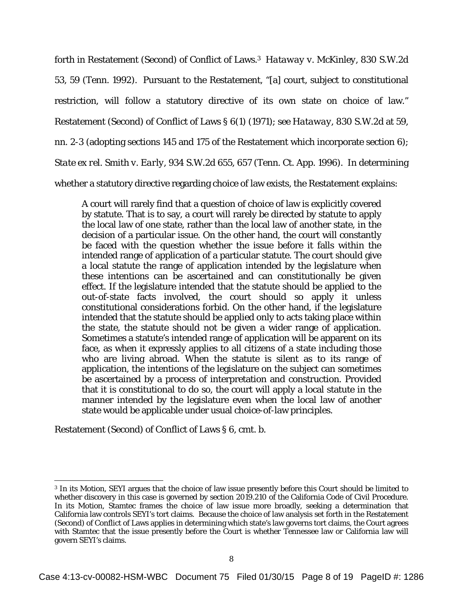forth in Restatement (Second) of Conflict of Laws.3 *Hataway v. McKinley*, 830 S.W.2d 53, 59 (Tenn. 1992). Pursuant to the Restatement, "[a] court, subject to constitutional restriction, will follow a statutory directive of its own state on choice of law." Restatement (Second) of Conflict of Laws § 6(1) (1971); *see Hataway,* 830 S.W.2d at 59, nn. 2-3 (adopting sections 145 and 175 of the Restatement which incorporate section 6); *State ex rel. Smith v. Early*, 934 S.W.2d 655, 657 (Tenn. Ct. App. 1996). In determining

whether a statutory directive regarding choice of law exists, the Restatement explains:

A court will rarely find that a question of choice of law is explicitly covered by statute. That is to say, a court will rarely be directed by statute to apply the local law of one state, rather than the local law of another state, in the decision of a particular issue. On the other hand, the court will constantly be faced with the question whether the issue before it falls within the intended range of application of a particular statute. The court should give a local statute the range of application intended by the legislature when these intentions can be ascertained and can constitutionally be given effect. If the legislature intended that the statute should be applied to the out-of-state facts involved, the court should so apply it unless constitutional considerations forbid. On the other hand, if the legislature intended that the statute should be applied only to acts taking place within the state, the statute should not be given a wider range of application. Sometimes a statute's intended range of application will be apparent on its face, as when it expressly applies to all citizens of a state including those who are living abroad. When the statute is silent as to its range of application, the intentions of the legislature on the subject can sometimes be ascertained by a process of interpretation and construction. Provided that it is constitutional to do so, the court will apply a local statute in the manner intended by the legislature even when the local law of another state would be applicable under usual choice-of-law principles.

Restatement (Second) of Conflict of Laws § 6, cmt. b.

 $\overline{a}$ 3 In its Motion, SEYI argues that the choice of law issue presently before this Court should be limited to whether discovery in this case is governed by section 2019.210 of the California Code of Civil Procedure. In its Motion, Stamtec frames the choice of law issue more broadly, seeking a determination that California law controls SEYI's tort claims. Because the choice of law analysis set forth in the Restatement (Second) of Conflict of Laws applies in determining which state's law governs tort claims, the Court agrees with Stamtec that the issue presently before the Court is whether Tennessee law or California law will govern SEYI's claims.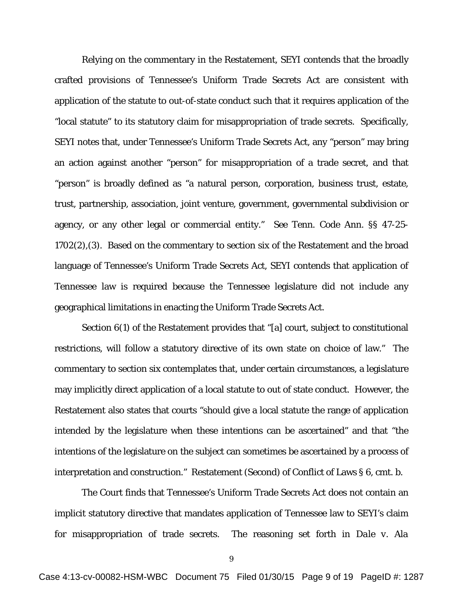Relying on the commentary in the Restatement, SEYI contends that the broadly crafted provisions of Tennessee's Uniform Trade Secrets Act are consistent with application of the statute to out-of-state conduct such that it requires application of the "local statute" to its statutory claim for misappropriation of trade secrets. Specifically, SEYI notes that, under Tennessee's Uniform Trade Secrets Act, any "person" may bring an action against another "person" for misappropriation of a trade secret, and that "person" is broadly defined as "a natural person, corporation, business trust, estate, trust, partnership, association, joint venture, government, governmental subdivision or agency, or any other legal or commercial entity." *See* Tenn. Code Ann. §§ 47-25- 1702(2),(3). Based on the commentary to section six of the Restatement and the broad language of Tennessee's Uniform Trade Secrets Act, SEYI contends that application of Tennessee law is required because the Tennessee legislature did not include any geographical limitations in enacting the Uniform Trade Secrets Act.

 Section 6(1) of the Restatement provides that "[a] court, subject to constitutional restrictions, will follow a statutory directive of its own state on choice of law." The commentary to section six contemplates that, under certain circumstances, a legislature may implicitly direct application of a local statute to out of state conduct. However, the Restatement also states that courts "should give a local statute the range of application intended by the legislature when these intentions can be ascertained" and that "the intentions of the legislature on the subject can sometimes be ascertained by a process of interpretation and construction." Restatement (Second) of Conflict of Laws § 6, cmt. b.

 The Court finds that Tennessee's Uniform Trade Secrets Act does not contain an implicit statutory directive that mandates application of Tennessee law to SEYI's claim for misappropriation of trade secrets. The reasoning set forth in *Dale v. Ala*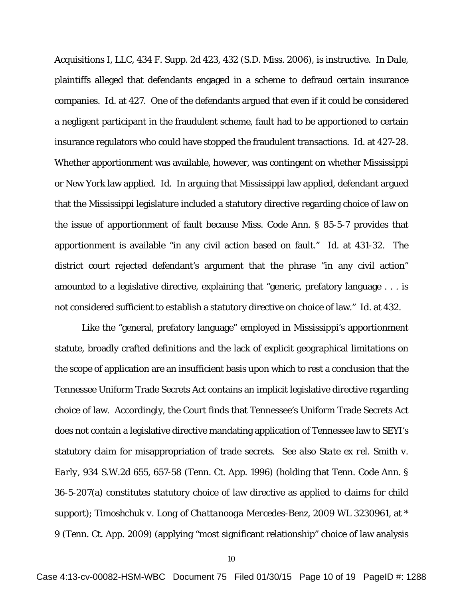*Acquisitions I, LLC*, 434 F. Supp. 2d 423, 432 (S.D. Miss. 2006), is instructive. In *Dale*, plaintiffs alleged that defendants engaged in a scheme to defraud certain insurance companies. *Id*. at 427. One of the defendants argued that even if it could be considered a negligent participant in the fraudulent scheme, fault had to be apportioned to certain insurance regulators who could have stopped the fraudulent transactions. *Id*. at 427-28. Whether apportionment was available, however, was contingent on whether Mississippi or New York law applied. *Id*. In arguing that Mississippi law applied, defendant argued that the Mississippi legislature included a statutory directive regarding choice of law on the issue of apportionment of fault because Miss. Code Ann. § 85-5-7 provides that apportionment is available "in any civil action based on fault." *Id*. at 431-32. The district court rejected defendant's argument that the phrase "in any civil action" amounted to a legislative directive, explaining that "generic, prefatory language . . . is not considered sufficient to establish a statutory directive on choice of law." *Id*. at 432.

 Like the "general, prefatory language" employed in Mississippi's apportionment statute, broadly crafted definitions and the lack of explicit geographical limitations on the scope of application are an insufficient basis upon which to rest a conclusion that the Tennessee Uniform Trade Secrets Act contains an implicit legislative directive regarding choice of law. Accordingly, the Court finds that Tennessee's Uniform Trade Secrets Act does not contain a legislative directive mandating application of Tennessee law to SEYI's statutory claim for misappropriation of trade secrets. *See also State ex rel. Smith v. Early*, 934 S.W.2d 655, 657-58 (Tenn. Ct. App. 1996) (holding that Tenn. Code Ann. § 36-5-207(a) constitutes statutory choice of law directive as applied to claims for child support); *Timoshchuk v. Long of Chattanooga Mercedes-Benz*, 2009 WL 3230961, at \* 9 (Tenn. Ct. App. 2009) (applying "most significant relationship" choice of law analysis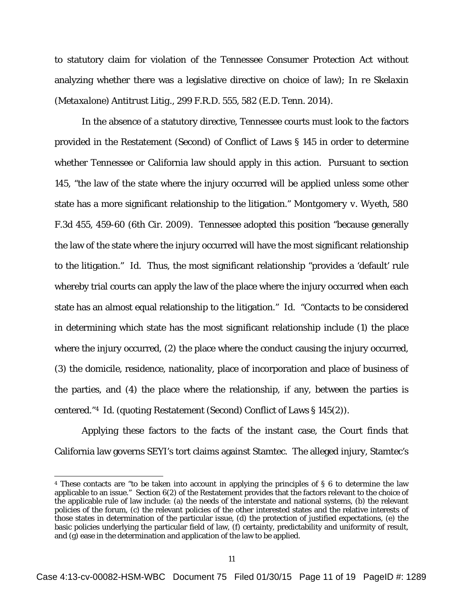to statutory claim for violation of the Tennessee Consumer Protection Act without analyzing whether there was a legislative directive on choice of law); *In re Skelaxin (Metaxalone) Antitrust Litig.*, 299 F.R.D. 555, 582 (E.D. Tenn. 2014).

 In the absence of a statutory directive, Tennessee courts must look to the factors provided in the Restatement (Second) of Conflict of Laws § 145 in order to determine whether Tennessee or California law should apply in this action. Pursuant to section 145, "the law of the state where the injury occurred will be applied unless some other state has a more significant relationship to the litigation." *Montgomery v. Wyeth,* 580 F.3d 455, 459-60 (6th Cir. 2009). Tennessee adopted this position "because generally the law of the state where the injury occurred will have the most significant relationship to the litigation." *Id*. Thus, the most significant relationship "provides a 'default' rule whereby trial courts can apply the law of the place where the injury occurred when each state has an almost equal relationship to the litigation." *Id*. "Contacts to be considered in determining which state has the most significant relationship include (1) the place where the injury occurred, (2) the place where the conduct causing the injury occurred, (3) the domicile, residence, nationality, place of incorporation and place of business of the parties, and (4) the place where the relationship, if any, between the parties is centered."4 *Id*. (*quoting* Restatement (Second) Conflict of Laws § 145(2)).

 Applying these factors to the facts of the instant case, the Court finds that California law governs SEYI's tort claims against Stamtec. The alleged injury, Stamtec's

<sup>4</sup> These contacts are "to be taken into account in applying the principles of § 6 to determine the law applicable to an issue." Section 6(2) of the Restatement provides that the factors relevant to the choice of the applicable rule of law include: (a) the needs of the interstate and national systems, (b) the relevant policies of the forum, (c) the relevant policies of the other interested states and the relative interests of those states in determination of the particular issue, (d) the protection of justified expectations, (e) the basic policies underlying the particular field of law, (f) certainty, predictability and uniformity of result, and (g) ease in the determination and application of the law to be applied.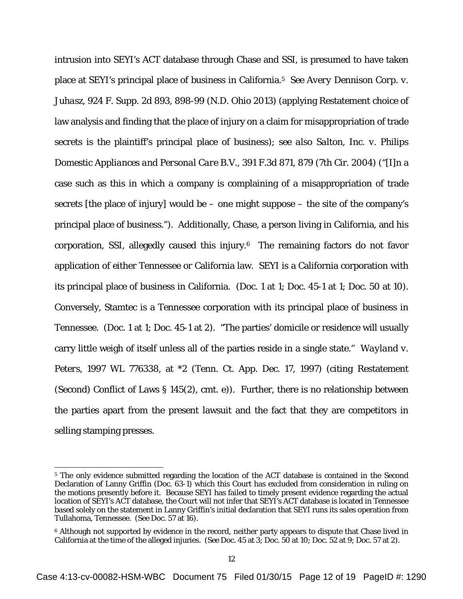intrusion into SEYI's ACT database through Chase and SSI, is presumed to have taken place at SEYI's principal place of business in California.5 *See Avery Dennison Corp. v. Juhasz*, 924 F. Supp. 2d 893, 898-99 (N.D. Ohio 2013) (applying Restatement choice of law analysis and finding that the place of injury on a claim for misappropriation of trade secrets is the plaintiff's principal place of business); *see also Salton, Inc. v. Philips Domestic Appliances and Personal Care B.V.*, 391 F.3d 871, 879 (7th Cir. 2004) ("[I]n a case such as this in which a company is complaining of a misappropriation of trade secrets [the place of injury] would be – one might suppose – the site of the company's principal place of business."). Additionally, Chase, a person living in California, and his corporation, SSI, allegedly caused this injury.6 The remaining factors do not favor application of either Tennessee or California law. SEYI is a California corporation with its principal place of business in California. (Doc. 1 at 1; Doc. 45-1 at 1; Doc. 50 at 10). Conversely, Stamtec is a Tennessee corporation with its principal place of business in Tennessee. (Doc. 1 at 1; Doc. 45-1 at 2). "The parties' domicile or residence will usually carry little weigh of itself unless all of the parties reside in a single state." *Wayland v. Peters*, 1997 WL 776338, at \*2 (Tenn. Ct. App. Dec. 17, 1997) (*citing* Restatement (Second) Conflict of Laws § 145(2), cmt. e)). Further, there is no relationship between the parties apart from the present lawsuit and the fact that they are competitors in selling stamping presses.

<sup>&</sup>lt;sup>5</sup> The only evidence submitted regarding the location of the ACT database is contained in the Second Declaration of Lanny Griffin (Doc. 63-1) which this Court has excluded from consideration in ruling on the motions presently before it. Because SEYI has failed to timely present evidence regarding the actual location of SEYI's ACT database, the Court will not infer that SEYI's ACT database is located in Tennessee based solely on the statement in Lanny Griffin's initial declaration that SEYI runs its sales operation from Tullahoma, Tennessee. (*See* Doc. 57 at 16).

<sup>6</sup> Although not supported by evidence in the record, neither party appears to dispute that Chase lived in California at the time of the alleged injuries. (*See* Doc. 45 at 3; Doc. 50 at 10; Doc. 52 at 9; Doc. 57 at 2).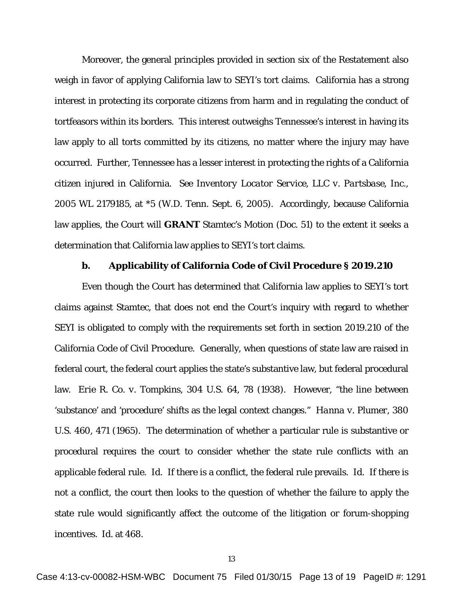Moreover, the general principles provided in section six of the Restatement also weigh in favor of applying California law to SEYI's tort claims. California has a strong interest in protecting its corporate citizens from harm and in regulating the conduct of tortfeasors within its borders. This interest outweighs Tennessee's interest in having its law apply to all torts committed by its citizens, no matter where the injury may have occurred. Further, Tennessee has a lesser interest in protecting the rights of a California citizen injured in California. *See Inventory Locator Service, LLC v. Partsbase, Inc.*, 2005 WL 2179185, at \*5 (W.D. Tenn. Sept. 6, 2005). Accordingly, because California law applies, the Court will **GRANT** Stamtec's Motion (Doc. 51) to the extent it seeks a determination that California law applies to SEYI's tort claims.

#### **b. Applicability of California Code of Civil Procedure § 2019.210**

 Even though the Court has determined that California law applies to SEYI's tort claims against Stamtec, that does not end the Court's inquiry with regard to whether SEYI is obligated to comply with the requirements set forth in section 2019.210 of the California Code of Civil Procedure. Generally, when questions of state law are raised in federal court, the federal court applies the state's substantive law, but federal procedural law. *Erie R. Co. v. Tompkins*, 304 U.S. 64, 78 (1938). However, "the line between 'substance' and 'procedure' shifts as the legal context changes." *Hanna v. Plumer*, 380 U.S. 460, 471 (1965). The determination of whether a particular rule is substantive or procedural requires the court to consider whether the state rule conflicts with an applicable federal rule. *Id*. If there is a conflict, the federal rule prevails. *Id*. If there is not a conflict, the court then looks to the question of whether the failure to apply the state rule would significantly affect the outcome of the litigation or forum-shopping incentives. *Id*. at 468.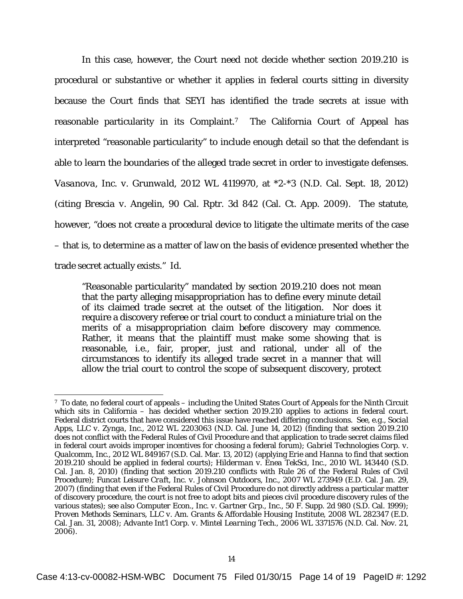In this case, however, the Court need not decide whether section 2019.210 is procedural or substantive or whether it applies in federal courts sitting in diversity because the Court finds that SEYI has identified the trade secrets at issue with reasonable particularity in its Complaint.<sup>7</sup> The California Court of Appeal has interpreted "reasonable particularity" to include enough detail so that the defendant is able to learn the boundaries of the alleged trade secret in order to investigate defenses. *Vasanova, Inc. v. Grunwald*, 2012 WL 4119970, at \*2-\*3 (N.D. Cal. Sept. 18, 2012) (citing *Brescia v. Angelin*, 90 Cal. Rptr. 3d 842 (Cal. Ct. App. 2009). The statute, however, "does not create a procedural device to litigate the ultimate merits of the case – that is, to determine as a matter of law on the basis of evidence presented whether the trade secret actually exists." *Id*.

"Reasonable particularity" mandated by section 2019.210 does not mean that the party alleging misappropriation has to define every minute detail of its claimed trade secret at the outset of the litigation. Nor does it require a discovery referee or trial court to conduct a miniature trial on the merits of a misappropriation claim before discovery may commence. Rather, it means that the plaintiff must make some showing that is reasonable, i.e., fair, proper, just and rational, under all of the circumstances to identify its alleged trade secret in a manner that will allow the trial court to control the scope of subsequent discovery, protect

<sup>7</sup> To date, no federal court of appeals – including the United States Court of Appeals for the Ninth Circuit which sits in California – has decided whether section 2019.210 applies to actions in federal court. Federal district courts that have considered this issue have reached differing conclusions. *See, e.g.*, *Social Apps, LLC v. Zynga, Inc.*, 2012 WL 2203063 (N.D. Cal. June 14, 2012) (finding that section 2019.210 does not conflict with the Federal Rules of Civil Procedure and that application to trade secret claims filed in federal court avoids improper incentives for choosing a federal forum); *Gabriel Technologies Corp. v. Qualcomm, Inc.*, 2012 WL 849167 (S.D. Cal. Mar. 13, 2012) (applying *Erie* and *Hanna* to find that section 2019.210 should be applied in federal courts); *Hilderman v. Enea TekSci, Inc.*, 2010 WL 143440 (S.D. Cal. Jan. 8, 2010) (finding that section 2019.210 conflicts with Rule 26 of the Federal Rules of Civil Procedure); *Funcat Leisure Craft, Inc. v. Johnson Outdoors, Inc.*, 2007 WL 273949 (E.D. Cal. Jan. 29, 2007) (finding that even if the Federal Rules of Civil Procedure do not directly address a particular matter of discovery procedure, the court is not free to adopt bits and pieces civil procedure discovery rules of the various states); *see also Computer Econ., Inc. v. Gartner Grp., Inc.*, 50 F. Supp. 2d 980 (S.D. Cal. 1999); *Proven Methods Seminars, LLC v. Am. Grants & Affordable Housing Institute*, 2008 WL 282347 (E.D. Cal. Jan. 31, 2008); *Advante Int'l Corp. v. Mintel Learning Tech.*, 2006 WL 3371576 (N.D. Cal. Nov. 21, 2006).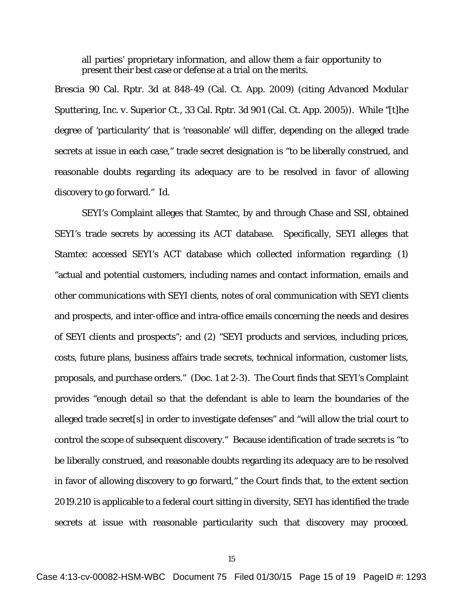all parties' proprietary information, and allow them a fair opportunity to present their best case or defense at a trial on the merits.

*Brescia* 90 Cal. Rptr. 3d at 848-49 (Cal. Ct. App. 2009) (citing *Advanced Modular Sputtering, Inc. v. Superior Ct.*, 33 Cal. Rptr. 3d 901 (Cal. Ct. App. 2005)). While "[t]he degree of 'particularity' that is 'reasonable' will differ, depending on the alleged trade secrets at issue in each case," trade secret designation is "to be liberally construed, and reasonable doubts regarding its adequacy are to be resolved in favor of allowing discovery to go forward." *Id*.

 SEYI's Complaint alleges that Stamtec, by and through Chase and SSI, obtained SEYI's trade secrets by accessing its ACT database. Specifically, SEYI alleges that Stamtec accessed SEYI's ACT database which collected information regarding: (1) "actual and potential customers, including names and contact information, emails and other communications with SEYI clients, notes of oral communication with SEYI clients and prospects, and inter-office and intra-office emails concerning the needs and desires of SEYI clients and prospects"; and (2) "SEYI products and services, including prices, costs, future plans, business affairs trade secrets, technical information, customer lists, proposals, and purchase orders." (Doc. 1 at 2-3). The Court finds that SEYI's Complaint provides "enough detail so that the defendant is able to learn the boundaries of the alleged trade secret[s] in order to investigate defenses" and "will allow the trial court to control the scope of subsequent discovery." Because identification of trade secrets is "to be liberally construed, and reasonable doubts regarding its adequacy are to be resolved in favor of allowing discovery to go forward," the Court finds that, to the extent section 2019.210 is applicable to a federal court sitting in diversity, SEYI has identified the trade secrets at issue with reasonable particularity such that discovery may proceed.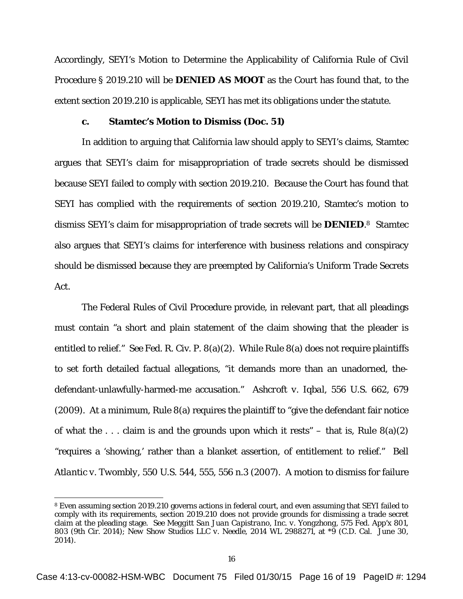Accordingly, SEYI's Motion to Determine the Applicability of California Rule of Civil Procedure § 2019.210 will be **DENIED AS MOOT** as the Court has found that, to the extent section 2019.210 is applicable, SEYI has met its obligations under the statute.

#### **c. Stamtec's Motion to Dismiss (Doc. 51)**

In addition to arguing that California law should apply to SEYI's claims, Stamtec argues that SEYI's claim for misappropriation of trade secrets should be dismissed because SEYI failed to comply with section 2019.210. Because the Court has found that SEYI has complied with the requirements of section 2019.210, Stamtec's motion to dismiss SEYI's claim for misappropriation of trade secrets will be **DENIED**.8 Stamtec also argues that SEYI's claims for interference with business relations and conspiracy should be dismissed because they are preempted by California's Uniform Trade Secrets Act.

 The Federal Rules of Civil Procedure provide, in relevant part, that all pleadings must contain "a short and plain statement of the claim showing that the pleader is entitled to relief." *See* Fed. R. Civ. P. 8(a)(2). While Rule 8(a) does not require plaintiffs to set forth detailed factual allegations, "it demands more than an unadorned, thedefendant-unlawfully-harmed-me accusation." *Ashcroft v. Iqbal*, 556 U.S. 662, 679 (2009). At a minimum, Rule 8(a) requires the plaintiff to "give the defendant fair notice of what the ... claim is and the grounds upon which it rests" – that is, Rule  $8(a)(2)$ "requires a 'showing,' rather than a blanket assertion, of entitlement to relief." *Bell Atlantic v. Twombly*, 550 U.S. 544, 555, 556 n.3 (2007). A motion to dismiss for failure

<sup>8</sup> Even assuming section 2019.210 governs actions in federal court, and even assuming that SEYI failed to comply with its requirements, section 2019.210 does not provide grounds for dismissing a trade secret claim at the pleading stage. *See Meggitt San Juan Capistrano, Inc. v. Yongzhong*, 575 Fed. App'x 801, 803 (9th Cir. 2014); *New Show Studios LLC v. Needle*, 2014 WL 2988271, at \*9 (C.D. Cal. June 30, 2014).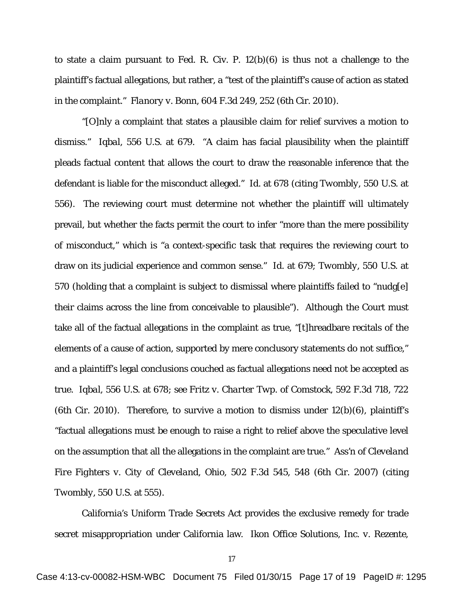to state a claim pursuant to Fed. R. Civ. P. 12(b)(6) is thus not a challenge to the plaintiff's factual allegations, but rather, a "test of the plaintiff's cause of action as stated in the complaint." *Flanory v. Bonn*, 604 F.3d 249, 252 (6th Cir. 2010).

 "[O]nly a complaint that states a plausible claim for relief survives a motion to dismiss." *Iqbal*, 556 U.S. at 679. "A claim has facial plausibility when the plaintiff pleads factual content that allows the court to draw the reasonable inference that the defendant is liable for the misconduct alleged." *Id*. at 678 (citing *Twombly*, 550 U.S. at 556). The reviewing court must determine not whether the plaintiff will ultimately prevail, but whether the facts permit the court to infer "more than the mere possibility of misconduct," which is "a context-specific task that requires the reviewing court to draw on its judicial experience and common sense." *Id*. at 679; *Twombly*, 550 U.S. at 570 (holding that a complaint is subject to dismissal where plaintiffs failed to "nudg[e] their claims across the line from conceivable to plausible"). Although the Court must take all of the factual allegations in the complaint as true, "[t]hreadbare recitals of the elements of a cause of action, supported by mere conclusory statements do not suffice," and a plaintiff's legal conclusions couched as factual allegations need not be accepted as true. *Iqbal*, 556 U.S. at 678; *see Fritz v. Charter Twp. of Comstock*, 592 F.3d 718, 722 (6th Cir. 2010). Therefore, to survive a motion to dismiss under  $12(b)(6)$ , plaintiff's "factual allegations must be enough to raise a right to relief above the speculative level on the assumption that all the allegations in the complaint are true." *Ass'n of Cleveland Fire Fighters v. City of Cleveland, Ohio*, 502 F.3d 545, 548 (6th Cir. 2007) (citing *Twombly*, 550 U.S. at 555).

 California's Uniform Trade Secrets Act provides the exclusive remedy for trade secret misappropriation under California law. *Ikon Office Solutions, Inc. v. Rezente*,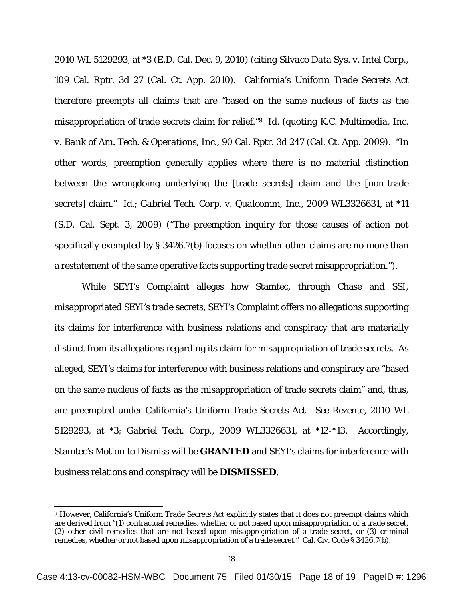2010 WL 5129293, at \*3 (E.D. Cal. Dec. 9, 2010) (*citing Silvaco Data Sys. v. Intel Corp.*, 109 Cal. Rptr. 3d 27 (Cal. Ct. App. 2010). California's Uniform Trade Secrets Act therefore preempts all claims that are "based on the same nucleus of facts as the misappropriation of trade secrets claim for relief."9 *Id*. (*quoting K.C. Multimedia, Inc. v. Bank of Am. Tech. & Operations, Inc.*, 90 Cal. Rptr. 3d 247 (Cal. Ct. App. 2009). "In other words, preemption generally applies where there is no material distinction between the wrongdoing underlying the [trade secrets] claim and the [non-trade secrets] claim." *Id*.; *Gabriel Tech. Corp. v. Qualcomm, Inc.*, 2009 WL3326631, at \*11 (S.D. Cal. Sept. 3, 2009) ("The preemption inquiry for those causes of action not specifically exempted by § 3426.7(b) focuses on whether other claims are no more than a restatement of the same operative facts supporting trade secret misappropriation.").

 While SEYI's Complaint alleges how Stamtec, through Chase and SSI, misappropriated SEYI's trade secrets, SEYI's Complaint offers no allegations supporting its claims for interference with business relations and conspiracy that are materially distinct from its allegations regarding its claim for misappropriation of trade secrets. As alleged, SEYI's claims for interference with business relations and conspiracy are "based on the same nucleus of facts as the misappropriation of trade secrets claim" and, thus, are preempted under California's Uniform Trade Secrets Act. *See Rezente*, 2010 WL 5129293, at \*3; *Gabriel Tech. Corp.*, 2009 WL3326631, at \*12-\*13. Accordingly, Stamtec's Motion to Dismiss will be **GRANTED** and SEYI's claims for interference with business relations and conspiracy will be **DISMISSED**.

<sup>9</sup> However, California's Uniform Trade Secrets Act explicitly states that it does not preempt claims which are derived from "(1) contractual remedies, whether or not based upon misappropriation of a trade secret, (2) other civil remedies that are not based upon misappropriation of a trade secret, or (3) criminal remedies, whether or not based upon misappropriation of a trade secret." Cal. Civ. Code § 3426.7(b).